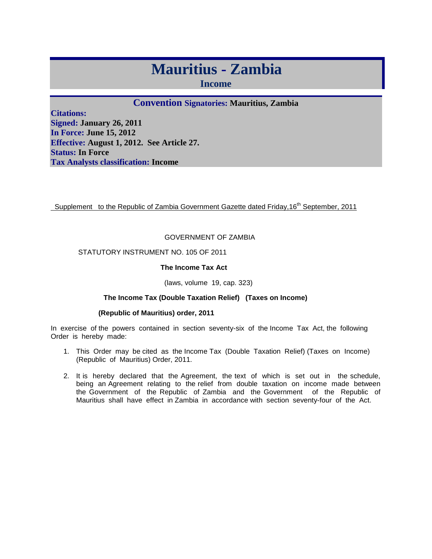# **Mauritius - Zambia**

**Income**

## **Convention Signatories: Mauritius, Zambia**

**Citations: Signed: January 26, 2011 In Force: June 15, 2012 Effective: August 1, 2012. See Article 27. Status: In Force Tax Analysts classification: Income**

Supplement to the Republic of Zambia Government Gazette dated Friday, 16<sup>th</sup> September, 2011

### GOVERNMENT OF ZAMBIA

STATUTORY INSTRUMENT NO. 105 OF 2011

#### **The Income Tax Act**

(laws, volume 19, cap. 323)

#### **The Income Tax (Double Taxation Relief) (Taxes on Income)**

#### **(Republic of Mauritius) order, 2011**

In exercise of the powers contained in section seventy-six of the Income Tax Act, the following Order is hereby made:

- 1. This Order may be cited as the Income Tax (Double Taxation Relief) (Taxes on Income) (Republic of Mauritius) Order, 2011.
- 2. It is hereby declared that the Agreement, the text of which is set out in the schedule, being an Agreement relating to the relief from double taxation on income made between the Government of the Republic of Zambia and the Government of the Republic of Mauritius shall have effect in Zambia in accordance with section seventy-four of the Act.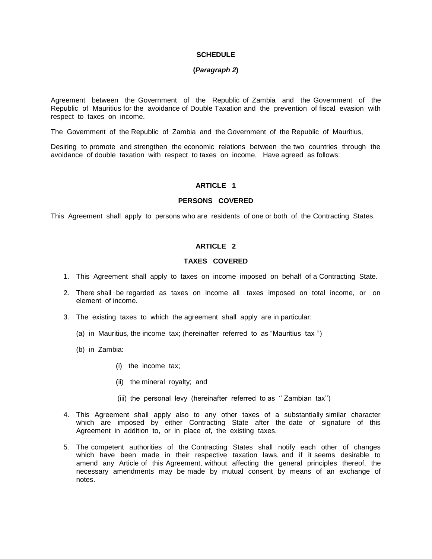#### **SCHEDULE**

#### **(***Paragraph 2***)**

Agreement between the Government of the Republic of Zambia and the Government of the Republic of Mauritius for the avoidance of Double Taxation and the prevention of fiscal evasion with respect to taxes on income.

The Government of the Republic of Zambia and the Government of the Republic of Mauritius,

Desiring to promote and strengthen the economic relations between the two countries through the avoidance of double taxation with respect to taxes on income, Have agreed as follows:

#### **ARTICLE 1**

#### **PERSONS COVERED**

This Agreement shall apply to persons who are residents of one or both of the Contracting States.

#### **ARTICLE 2**

#### **TAXES COVERED**

- 1. This Agreement shall apply to taxes on income imposed on behalf of a Contracting State.
- 2. There shall be regarded as taxes on income all taxes imposed on total income, or on element of income.
- 3. The existing taxes to which the agreement shall apply are in particular:
	- (a) in Mauritius, the income tax; (hereinafter referred to as "Mauritius tax '')
	- (b) in Zambia:
		- (i) the income tax;
		- (ii) the mineral royalty; and
		- (iii) the personal levy (hereinafter referred to as "Zambian tax")
- 4. This Agreement shall apply also to any other taxes of a substantially similar character which are imposed by either Contracting State after the date of signature of this Agreement in addition to, or in place of, the existing taxes.
- 5. The competent authorities of the Contracting States shall notify each other of changes which have been made in their respective taxation laws, and if it seems desirable to amend any Article of this Agreement, without affecting the general principles thereof, the necessary amendments may be made by mutual consent by means of an exchange of notes.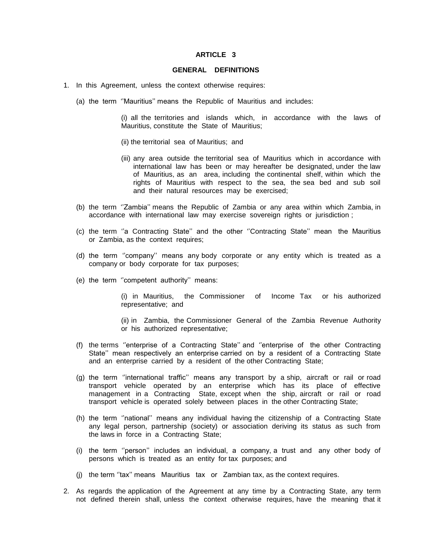#### **GENERAL DEFINITIONS**

- 1. In this Agreement, unless the context otherwise requires:
	- (a) the term ''Mauritius'' means the Republic of Mauritius and includes:

(i) all the territories and islands which, in accordance with the laws of Mauritius, constitute the State of Mauritius;

- (ii) the territorial sea of Mauritius; and
- (iii) any area outside the territorial sea of Mauritius which in accordance with international law has been or may hereafter be designated, under the law of Mauritius, as an area, including the continental shelf, within which the rights of Mauritius with respect to the sea, the sea bed and sub soil and their natural resources may be exercised;
- (b) the term ''Zambia'' means the Republic of Zambia or any area within which Zambia, in accordance with international law may exercise sovereign rights or jurisdiction ;
- (c) the term ''a Contracting State'' and the other ''Contracting State'' mean the Mauritius or Zambia, as the context requires;
- (d) the term ''company'' means any body corporate or any entity which is treated as a company or body corporate for tax purposes;
- (e) the term ''competent authority'' means:

(i) in Mauritius, the Commissioner of Income Tax or his authorized representative; and

(ii) in Zambia, the Commissioner General of the Zambia Revenue Authority or his authorized representative;

- (f) the terms ''enterprise of a Contracting State'' and ''enterprise of the other Contracting State'' mean respectively an enterprise carried on by a resident of a Contracting State and an enterprise carried by a resident of the other Contracting State;
- (g) the term ''international traffic'' means any transport by a ship, aircraft or rail or road transport vehicle operated by an enterprise which has its place of effective management in a Contracting State, except when the ship, aircraft or rail or road transport vehicle is operated solely between places in the other Contracting State;
- (h) the term ''national'' means any individual having the citizenship of a Contracting State any legal person, partnership (society) or association deriving its status as such from the laws in force in a Contracting State;
- (i) the term ''person'' includes an individual, a company, a trust and any other body of persons which is treated as an entity for tax purposes; and
- (j) the term ''tax'' means Mauritius tax or Zambian tax, as the context requires.
- 2. As regards the application of the Agreement at any time by a Contracting State, any term not defined therein shall, unless the context otherwise requires, have the meaning that it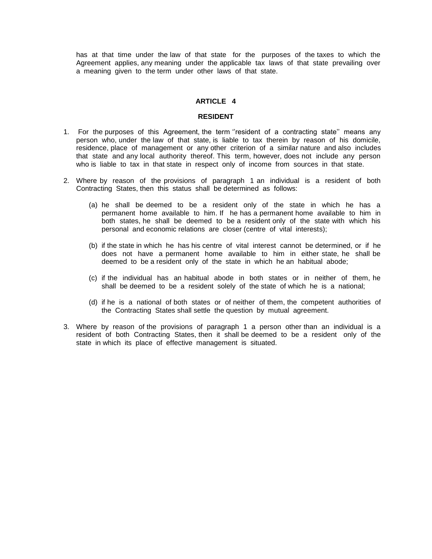has at that time under the law of that state for the purposes of the taxes to which the Agreement applies, any meaning under the applicable tax laws of that state prevailing over a meaning given to the term under other laws of that state.

#### **ARTICLE 4**

#### **RESIDENT**

- 1. For the purposes of this Agreement, the term ''resident of a contracting state'' means any person who, under the law of that state, is liable to tax therein by reason of his domicile, residence, place of management or any other criterion of a similar nature and also includes that state and any local authority thereof. This term, however, does not include any person who is liable to tax in that state in respect only of income from sources in that state.
- 2. Where by reason of the provisions of paragraph 1 an individual is a resident of both Contracting States, then this status shall be determined as follows:
	- (a) he shall be deemed to be a resident only of the state in which he has a permanent home available to him. If he has a permanent home available to him in both states, he shall be deemed to be a resident only of the state with which his personal and economic relations are closer (centre of vital interests);
	- (b) if the state in which he has his centre of vital interest cannot be determined, or if he does not have a permanent home available to him in either state, he shall be deemed to be a resident only of the state in which he an habitual abode;
	- (c) if the individual has an habitual abode in both states or in neither of them, he shall be deemed to be a resident solely of the state of which he is a national;
	- (d) if he is a national of both states or of neither of them, the competent authorities of the Contracting States shall settle the question by mutual agreement.
- 3. Where by reason of the provisions of paragraph 1 a person other than an individual is a resident of both Contracting States, then it shall be deemed to be a resident only of the state in which its place of effective management is situated.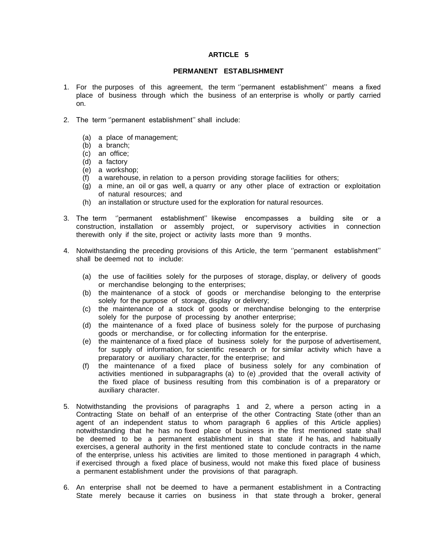#### **PERMANENT ESTABLISHMENT**

- 1. For the purposes of this agreement, the term "permanent establishment" means a fixed place of business through which the business of an enterprise is wholly or partly carried on.
- 2. The term ''permanent establishment'' shall include:
	- (a) a place of management;
	- (b) a branch;
	- (c) an office;
	- (d) a factory
	- (e) a workshop;
	- (f) a warehouse, in relation to a person providing storage facilities for others;
	- (g) a mine, an oil or gas well, a quarry or any other place of extraction or exploitation of natural resources; and
	- (h) an installation or structure used for the exploration for natural resources.
- 3. The term ''permanent establishment'' likewise encompasses a building site or a construction, installation or assembly project, or supervisory activities in connection therewith only if the site, project or activity lasts more than 9 months.
- 4. Notwithstanding the preceding provisions of this Article, the term ''permanent establishment'' shall be deemed not to include:
	- (a) the use of facilities solely for the purposes of storage, display, or delivery of goods or merchandise belonging to the enterprises;
	- (b) the maintenance of a stock of goods or merchandise belonging to the enterprise solely for the purpose of storage, display or delivery;
	- (c) the maintenance of a stock of goods or merchandise belonging to the enterprise solely for the purpose of processing by another enterprise;
	- (d) the maintenance of a fixed place of business solely for the purpose of purchasing goods or merchandise, or for collecting information for the enterprise.
	- (e) the maintenance of a fixed place of business solely for the purpose of advertisement, for supply of information, for scientific research or for similar activity which have a preparatory or auxiliary character, for the enterprise; and
	- (f) the maintenance of a fixed place of business solely for any combination of activities mentioned in subparagraphs (a) to (e) ,provided that the overall activity of the fixed place of business resulting from this combination is of a preparatory or auxiliary character.
- 5. Notwithstanding the provisions of paragraphs 1 and 2, where a person acting in a Contracting State on behalf of an enterprise of the other Contracting State (other than an agent of an independent status to whom paragraph 6 applies of this Article applies) notwithstanding that he has no fixed place of business in the first mentioned state shall be deemed to be a permanent establishment in that state if he has, and habitually exercises, a general authority in the first mentioned state to conclude contracts in the name of the enterprise, unless his activities are limited to those mentioned in paragraph 4 which, if exercised through a fixed place of business, would not make this fixed place of business a permanent establishment under the provisions of that paragraph.
- 6. An enterprise shall not be deemed to have a permanent establishment in a Contracting State merely because it carries on business in that state through a broker, general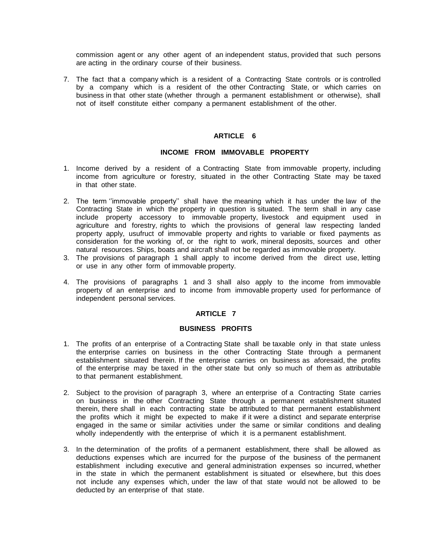commission agent or any other agent of an independent status, provided that such persons are acting in the ordinary course of their business.

7. The fact that a company which is a resident of a Contracting State controls or is controlled by a company which is a resident of the other Contracting State, or which carries on business in that other state (whether through a permanent establishment or otherwise), shall not of itself constitute either company a permanent establishment of the other.

#### **ARTICLE 6**

### **INCOME FROM IMMOVABLE PROPERTY**

- 1. Income derived by a resident of a Contracting State from immovable property, including income from agriculture or forestry, situated in the other Contracting State may be taxed in that other state.
- 2. The term ''immovable property'' shall have the meaning which it has under the law of the Contracting State in which the property in question is situated. The term shall in any case include property accessory to immovable property, livestock and equipment used in agriculture and forestry, rights to which the provisions of general law respecting landed property apply, usufruct of immovable property and rights to variable or fixed payments as consideration for the working of, or the right to work, mineral deposits, sources and other natural resources. Ships, boats and aircraft shall not be regarded as immovable property.
- 3. The provisions of paragraph 1 shall apply to income derived from the direct use, letting or use in any other form of immovable property.
- 4. The provisions of paragraphs 1 and 3 shall also apply to the income from immovable property of an enterprise and to income from immovable property used for performance of independent personal services.

#### **ARTICLE 7**

#### **BUSINESS PROFITS**

- 1. The profits of an enterprise of a Contracting State shall be taxable only in that state unless the enterprise carries on business in the other Contracting State through a permanent establishment situated therein. If the enterprise carries on business as aforesaid, the profits of the enterprise may be taxed in the other state but only so much of them as attributable to that permanent establishment.
- 2. Subject to the provision of paragraph 3, where an enterprise of a Contracting State carries on business in the other Contracting State through a permanent establishment situated therein, there shall in each contracting state be attributed to that permanent establishment the profits which it might be expected to make if it were a distinct and separate enterprise engaged in the same or similar activities under the same or similar conditions and dealing wholly independently with the enterprise of which it is a permanent establishment.
- 3. In the determination of the profits of a permanent establishment, there shall be allowed as deductions expenses which are incurred for the purpose of the business of the permanent establishment including executive and general administration expenses so incurred, whether in the state in which the permanent establishment is situated or elsewhere, but this does not include any expenses which, under the law of that state would not be allowed to be deducted by an enterprise of that state.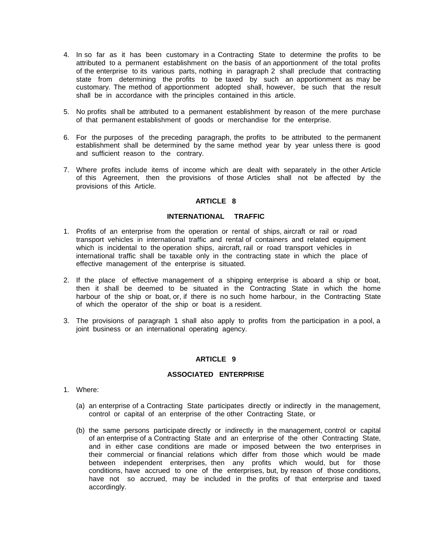- 4. In so far as it has been customary in a Contracting State to determine the profits to be attributed to a permanent establishment on the basis of an apportionment of the total profits of the enterprise to its various parts, nothing in paragraph 2 shall preclude that contracting state from determining the profits to be taxed by such an apportionment as may be customary. The method of apportionment adopted shall, however, be such that the result shall be in accordance with the principles contained in this article.
- 5. No profits shall be attributed to a permanent establishment by reason of the mere purchase of that permanent establishment of goods or merchandise for the enterprise.
- 6. For the purposes of the preceding paragraph, the profits to be attributed to the permanent establishment shall be determined by the same method year by year unless there is good and sufficient reason to the contrary.
- 7. Where profits include items of income which are dealt with separately in the other Article of this Agreement, then the provisions of those Articles shall not be affected by the provisions of this Article.

### **INTERNATIONAL TRAFFIC**

- 1. Profits of an enterprise from the operation or rental of ships, aircraft or rail or road transport vehicles in international traffic and rental of containers and related equipment which is incidental to the operation ships, aircraft, rail or road transport vehicles in international traffic shall be taxable only in the contracting state in which the place of effective management of the enterprise is situated.
- 2. If the place of effective management of a shipping enterprise is aboard a ship or boat, then it shall be deemed to be situated in the Contracting State in which the home harbour of the ship or boat, or, if there is no such home harbour, in the Contracting State of which the operator of the ship or boat is a resident.
- 3. The provisions of paragraph 1 shall also apply to profits from the participation in a pool, a joint business or an international operating agency.

#### **ARTICLE 9**

#### **ASSOCIATED ENTERPRISE**

- 1. Where:
	- (a) an enterprise of a Contracting State participates directly or indirectly in the management, control or capital of an enterprise of the other Contracting State, or
	- (b) the same persons participate directly or indirectly in the management, control or capital of an enterprise of a Contracting State and an enterprise of the other Contracting State, and in either case conditions are made or imposed between the two enterprises in their commercial or financial relations which differ from those which would be made between independent enterprises, then any profits which would, but for those conditions, have accrued to one of the enterprises, but, by reason of those conditions, have not so accrued, may be included in the profits of that enterprise and taxed accordingly.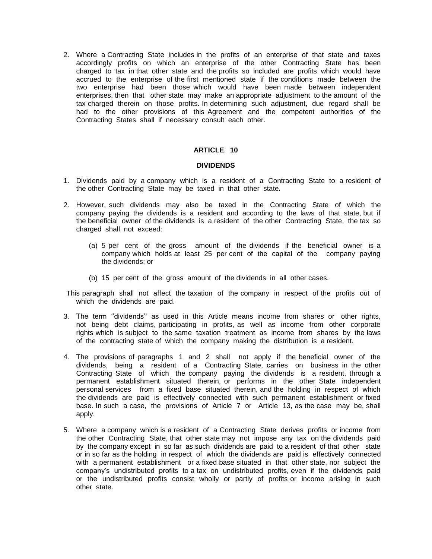2. Where a Contracting State includes in the profits of an enterprise of that state and taxes accordingly profits on which an enterprise of the other Contracting State has been charged to tax in that other state and the profits so included are profits which would have accrued to the enterprise of the first mentioned state if the conditions made between the two enterprise had been those which would have been made between independent enterprises, then that other state may make an appropriate adjustment to the amount of the tax charged therein on those profits. In determining such adjustment, due regard shall be had to the other provisions of this Agreement and the competent authorities of the Contracting States shall if necessary consult each other.

#### **ARTICLE 10**

#### **DIVIDENDS**

- 1. Dividends paid by a company which is a resident of a Contracting State to a resident of the other Contracting State may be taxed in that other state.
- 2. However, such dividends may also be taxed in the Contracting State of which the company paying the dividends is a resident and according to the laws of that state, but if the beneficial owner of the dividends is a resident of the other Contracting State, the tax so charged shall not exceed:
	- (a) 5 per cent of the gross amount of the dividends if the beneficial owner is a company which holds at least 25 per cent of the capital of the company paying the dividends; or
	- (b) 15 per cent of the gross amount of the dividends in all other cases.

 This paragraph shall not affect the taxation of the company in respect of the profits out of which the dividends are paid.

- 3. The term ''dividends'' as used in this Article means income from shares or other rights, not being debt claims, participating in profits, as well as income from other corporate rights which is subject to the same taxation treatment as income from shares by the laws of the contracting state of which the company making the distribution is a resident.
- 4. The provisions of paragraphs 1 and 2 shall not apply if the beneficial owner of the dividends, being a resident of a Contracting State, carries on business in the other Contracting State of which the company paying the dividends is a resident, through a permanent establishment situated therein, or performs in the other State independent personal services from a fixed base situated therein, and the holding in respect of which the dividends are paid is effectively connected with such permanent establishment or fixed base. In such a case, the provisions of Article 7 or Article 13, as the case may be, shall apply.
- 5. Where a company which is a resident of a Contracting State derives profits or income from the other Contracting State, that other state may not impose any tax on the dividends paid by the company except in so far as such dividends are paid to a resident of that other state or in so far as the holding in respect of which the dividends are paid is effectively connected with a permanent establishment or a fixed base situated in that other state, nor subject the company's undistributed profits to a tax on undistributed profits, even if the dividends paid or the undistributed profits consist wholly or partly of profits or income arising in such other state.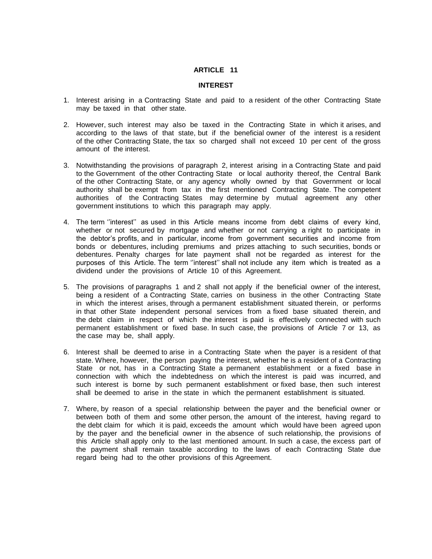#### **INTEREST**

- 1. Interest arising in a Contracting State and paid to a resident of the other Contracting State may be taxed in that other state.
- 2. However, such interest may also be taxed in the Contracting State in which it arises, and according to the laws of that state, but if the beneficial owner of the interest is a resident of the other Contracting State, the tax so charged shall not exceed 10 per cent of the gross amount of the interest.
- 3. Notwithstanding the provisions of paragraph 2, interest arising in a Contracting State and paid to the Government of the other Contracting State or local authority thereof, the Central Bank of the other Contracting State, or any agency wholly owned by that Government or local authority shall be exempt from tax in the first mentioned Contracting State. The competent authorities of the Contracting States may determine by mutual agreement any other government institutions to which this paragraph may apply.
- 4. The term ''interest'' as used in this Article means income from debt claims of every kind, whether or not secured by mortgage and whether or not carrying a right to participate in the debtor's profits, and in particular, income from government securities and income from bonds or debentures, including premiums and prizes attaching to such securities, bonds or debentures. Penalty charges for late payment shall not be regarded as interest for the purposes of this Article. The term ''interest'' shall not include any item which is treated as a dividend under the provisions of Article 10 of this Agreement.
- 5. The provisions of paragraphs 1 and 2 shall not apply if the beneficial owner of the interest, being a resident of a Contracting State, carries on business in the other Contracting State in which the interest arises, through a permanent establishment situated therein, or performs in that other State independent personal services from a fixed base situated therein, and the debt claim in respect of which the interest is paid is effectively connected with such permanent establishment or fixed base. In such case, the provisions of Article 7 or 13, as the case may be, shall apply.
- 6. Interest shall be deemed to arise in a Contracting State when the payer is a resident of that state. Where, however, the person paying the interest, whether he is a resident of a Contracting State or not, has in a Contracting State a permanent establishment or a fixed base in connection with which the indebtedness on which the interest is paid was incurred, and such interest is borne by such permanent establishment or fixed base, then such interest shall be deemed to arise in the state in which the permanent establishment is situated.
- 7. Where, by reason of a special relationship between the payer and the beneficial owner or between both of them and some other person, the amount of the interest, having regard to the debt claim for which it is paid, exceeds the amount which would have been agreed upon by the payer and the beneficial owner in the absence of such relationship, the provisions of this Article shall apply only to the last mentioned amount. In such a case, the excess part of the payment shall remain taxable according to the laws of each Contracting State due regard being had to the other provisions of this Agreement.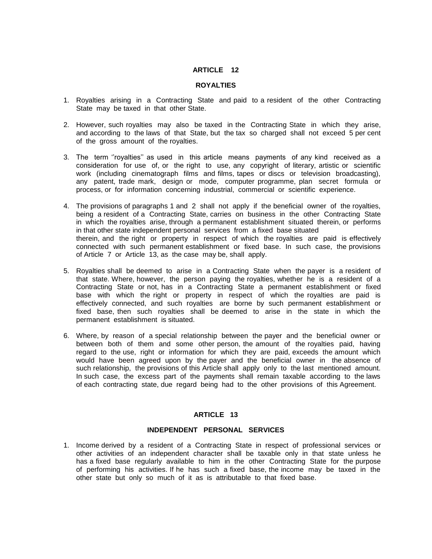#### **ROYALTIES**

- 1. Royalties arising in a Contracting State and paid to a resident of the other Contracting State may be taxed in that other State.
- 2. However, such royalties may also be taxed in the Contracting State in which they arise, and according to the laws of that State, but the tax so charged shall not exceed 5 per cent of the gross amount of the royalties.
- 3. The term ''royalties'' as used in this article means payments of any kind received as a consideration for use of, or the right to use, any copyright of literary, artistic or scientific work (including cinematograph films and films, tapes or discs or television broadcasting), any patent, trade mark, design or mode, computer programme, plan secret formula or process, or for information concerning industrial, commercial or scientific experience.
- 4. The provisions of paragraphs 1 and 2 shall not apply if the beneficial owner of the royalties, being a resident of a Contracting State, carries on business in the other Contracting State in which the royalties arise, through a permanent establishment situated therein, or performs in that other state independent personal services from a fixed base situated therein, and the right or property in respect of which the royalties are paid is effectively connected with such permanent establishment or fixed base. In such case, the provisions of Article 7 or Article 13, as the case may be, shall apply.
- 5. Royalties shall be deemed to arise in a Contracting State when the payer is a resident of that state. Where, however, the person paying the royalties, whether he is a resident of a Contracting State or not, has in a Contracting State a permanent establishment or fixed base with which the right or property in respect of which the royalties are paid is effectively connected, and such royalties are borne by such permanent establishment or fixed base, then such royalties shall be deemed to arise in the state in which the permanent establishment is situated.
- 6. Where, by reason of a special relationship between the payer and the beneficial owner or between both of them and some other person, the amount of the royalties paid, having regard to the use, right or information for which they are paid, exceeds the amount which would have been agreed upon by the payer and the beneficial owner in the absence of such relationship, the provisions of this Article shall apply only to the last mentioned amount. In such case, the excess part of the payments shall remain taxable according to the laws of each contracting state, due regard being had to the other provisions of this Agreement.

#### **ARTICLE 13**

#### **INDEPENDENT PERSONAL SERVICES**

1. Income derived by a resident of a Contracting State in respect of professional services or other activities of an independent character shall be taxable only in that state unless he has a fixed base regularly available to him in the other Contracting State for the purpose of performing his activities. If he has such a fixed base, the income may be taxed in the other state but only so much of it as is attributable to that fixed base.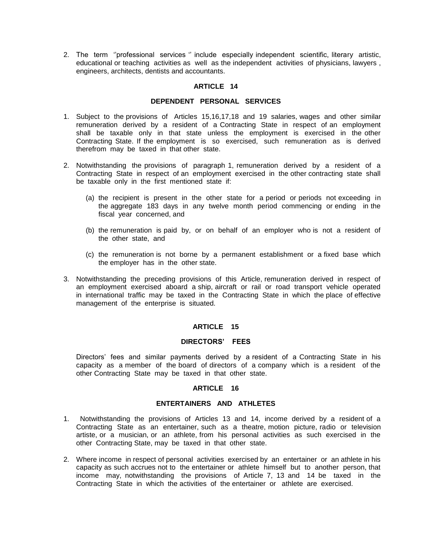2. The term ''professional services '' include especially independent scientific, literary artistic, educational or teaching activities as well as the independent activities of physicians, lawyers , engineers, architects, dentists and accountants.

#### **ARTICLE 14**

#### **DEPENDENT PERSONAL SERVICES**

- 1. Subject to the provisions of Articles 15,16,17,18 and 19 salaries, wages and other similar remuneration derived by a resident of a Contracting State in respect of an employment shall be taxable only in that state unless the employment is exercised in the other Contracting State. If the employment is so exercised, such remuneration as is derived therefrom may be taxed in that other state.
- 2. Notwithstanding the provisions of paragraph 1, remuneration derived by a resident of a Contracting State in respect of an employment exercised in the other contracting state shall be taxable only in the first mentioned state if:
	- (a) the recipient is present in the other state for a period or periods not exceeding in the aggregate 183 days in any twelve month period commencing or ending in the fiscal year concerned, and
	- (b) the remuneration is paid by, or on behalf of an employer who is not a resident of the other state, and
	- (c) the remuneration is not borne by a permanent establishment or a fixed base which the employer has in the other state.
- 3. Notwithstanding the preceding provisions of this Article, remuneration derived in respect of an employment exercised aboard a ship, aircraft or rail or road transport vehicle operated in international traffic may be taxed in the Contracting State in which the place of effective management of the enterprise is situated.

#### **ARTICLE 15**

#### **DIRECTORS' FEES**

Directors' fees and similar payments derived by a resident of a Contracting State in his capacity as a member of the board of directors of a company which is a resident of the other Contracting State may be taxed in that other state.

#### **ARTICLE 16**

#### **ENTERTAINERS AND ATHLETES**

- 1. Notwithstanding the provisions of Articles 13 and 14, income derived by a resident of a Contracting State as an entertainer, such as a theatre, motion picture, radio or television artiste, or a musician, or an athlete, from his personal activities as such exercised in the other Contracting State, may be taxed in that other state.
- 2. Where income in respect of personal activities exercised by an entertainer or an athlete in his capacity as such accrues not to the entertainer or athlete himself but to another person, that income may, notwithstanding the provisions of Article 7, 13 and 14 be taxed in the Contracting State in which the activities of the entertainer or athlete are exercised.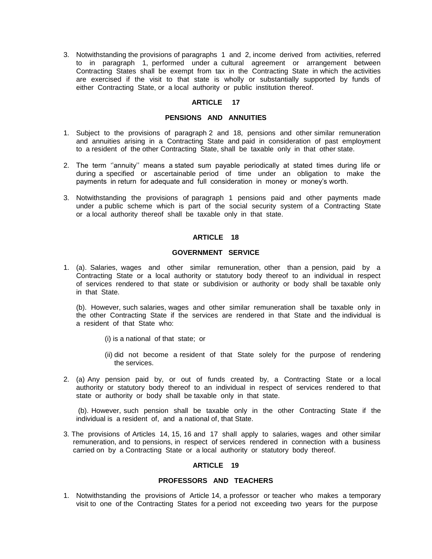3. Notwithstanding the provisions of paragraphs 1 and 2, income derived from activities, referred to in paragraph 1, performed under a cultural agreement or arrangement between Contracting States shall be exempt from tax in the Contracting State in which the activities are exercised if the visit to that state is wholly or substantially supported by funds of either Contracting State, or a local authority or public institution thereof.

#### **ARTICLE 17**

#### **PENSIONS AND ANNUITIES**

- 1. Subject to the provisions of paragraph 2 and 18, pensions and other similar remuneration and annuities arising in a Contracting State and paid in consideration of past employment to a resident of the other Contracting State, shall be taxable only in that other state.
- 2. The term ''annuity'' means a stated sum payable periodically at stated times during life or during a specified or ascertainable period of time under an obligation to make the payments in return for adequate and full consideration in money or money's worth.
- 3. Notwithstanding the provisions of paragraph 1 pensions paid and other payments made under a public scheme which is part of the social security system of a Contracting State or a local authority thereof shall be taxable only in that state.

#### **ARTICLE 18**

#### **GOVERNMENT SERVICE**

1. (a). Salaries, wages and other similar remuneration, other than a pension, paid by a Contracting State or a local authority or statutory body thereof to an individual in respect of services rendered to that state or subdivision or authority or body shall be taxable only in that State.

(b). However, such salaries, wages and other similar remuneration shall be taxable only in the other Contracting State if the services are rendered in that State and the individual is a resident of that State who:

- (i) is a national of that state; or
- (ii) did not become a resident of that State solely for the purpose of rendering the services.
- 2. (a) Any pension paid by, or out of funds created by, a Contracting State or a local authority or statutory body thereof to an individual in respect of services rendered to that state or authority or body shall be taxable only in that state.

 (b). However, such pension shall be taxable only in the other Contracting State if the individual is a resident of, and a national of, that State.

3. The provisions of Articles 14, 15, 16 and 17 shall apply to salaries, wages and other similar remuneration, and to pensions, in respect of services rendered in connection with a business carried on by a Contracting State or a local authority or statutory body thereof.

### **ARTICLE 19**

#### **PROFESSORS AND TEACHERS**

1. Notwithstanding the provisions of Article 14, a professor or teacher who makes a temporary visit to one of the Contracting States for a period not exceeding two years for the purpose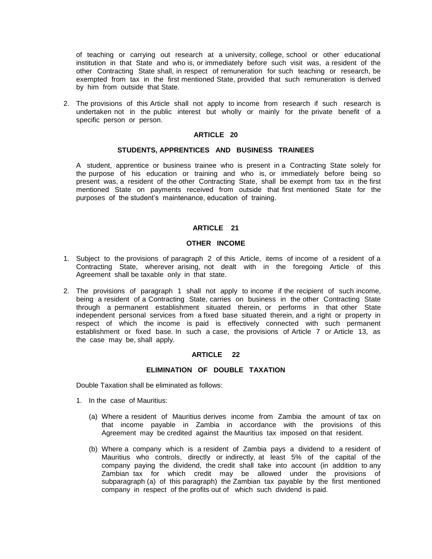of teaching or carrying out research at a university, college, school or other educational institution in that State and who is, or immediately before such visit was, a resident of the other Contracting State shall, in respect of remuneration for such teaching or research, be exempted from tax in the first mentioned State, provided that such remuneration is derived by him from outside that State.

2. The provisions of this Article shall not apply to income from research if such research is undertaken not in the public interest but wholly or mainly for the private benefit of a specific person or person.

#### **ARTICLE 20**

#### **STUDENTS, APPRENTICES AND BUSINESS TRAINEES**

A student, apprentice or business trainee who is present in a Contracting State solely for the purpose of his education or training and who is, or immediately before being so present was, a resident of the other Contracting State, shall be exempt from tax in the first mentioned State on payments received from outside that first mentioned State for the purposes of the student's maintenance, education of training.

#### **ARTICLE 21**

#### **OTHER INCOME**

- 1. Subject to the provisions of paragraph 2 of this Article, items of income of a resident of a Contracting State, wherever arising, not dealt with in the foregoing Article of this Agreement shall be taxable only in that state.
- 2. The provisions of paragraph 1 shall not apply to income if the recipient of such income, being a resident of a Contracting State, carries on business in the other Contracting State through a permanent establishment situated therein, or performs in that other State independent personal services from a fixed base situated therein, and a right or property in respect of which the income is paid is effectively connected with such permanent establishment or fixed base. In such a case, the provisions of Article 7 or Article 13, as the case may be, shall apply.

#### **ARTICLE 22**

#### **ELIMINATION OF DOUBLE TAXATION**

Double Taxation shall be eliminated as follows:

- 1. In the case of Mauritius:
	- (a) Where a resident of Mauritius derives income from Zambia the amount of tax on that income payable in Zambia in accordance with the provisions of this Agreement may be credited against the Mauritius tax imposed on that resident.
	- (b) Where a company which is a resident of Zambia pays a dividend to a resident of Mauritius who controls, directly or indirectly, at least 5% of the capital of the company paying the dividend, the credit shall take into account (in addition to any Zambian tax for which credit may be allowed under the provisions of subparagraph (a) of this paragraph) the Zambian tax payable by the first mentioned company in respect of the profits out of which such dividend is paid.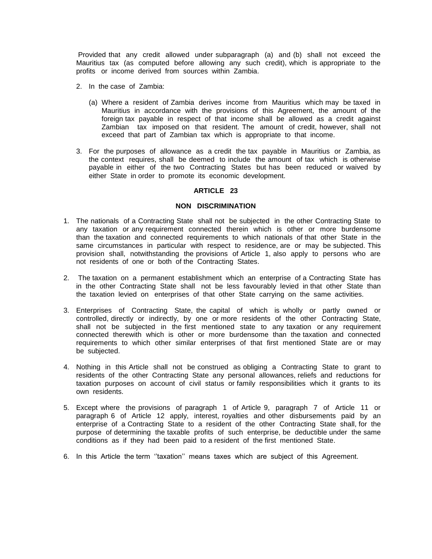Provided that any credit allowed under subparagraph (a) and (b) shall not exceed the Mauritius tax (as computed before allowing any such credit), which is appropriate to the profits or income derived from sources within Zambia.

- 2. In the case of Zambia:
	- (a) Where a resident of Zambia derives income from Mauritius which may be taxed in Mauritius in accordance with the provisions of this Agreement, the amount of the foreign tax payable in respect of that income shall be allowed as a credit against Zambian tax imposed on that resident. The amount of credit, however, shall not exceed that part of Zambian tax which is appropriate to that income.
- 3. For the purposes of allowance as a credit the tax payable in Mauritius or Zambia, as the context requires, shall be deemed to include the amount of tax which is otherwise payable in either of the two Contracting States but has been reduced or waived by either State in order to promote its economic development.

#### **ARTICLE 23**

#### **NON DISCRIMINATION**

- 1. The nationals of a Contracting State shall not be subjected in the other Contracting State to any taxation or any requirement connected therein which is other or more burdensome than the taxation and connected requirements to which nationals of that other State in the same circumstances in particular with respect to residence, are or may be subjected. This provision shall, notwithstanding the provisions of Article 1, also apply to persons who are not residents of one or both of the Contracting States.
- 2. The taxation on a permanent establishment which an enterprise of a Contracting State has in the other Contracting State shall not be less favourably levied in that other State than the taxation levied on enterprises of that other State carrying on the same activities.
- 3. Enterprises of Contracting State, the capital of which is wholly or partly owned or controlled, directly or indirectly, by one or more residents of the other Contracting State, shall not be subjected in the first mentioned state to any taxation or any requirement connected therewith which is other or more burdensome than the taxation and connected requirements to which other similar enterprises of that first mentioned State are or may be subjected.
- 4. Nothing in this Article shall not be construed as obliging a Contracting State to grant to residents of the other Contracting State any personal allowances, reliefs and reductions for taxation purposes on account of civil status or family responsibilities which it grants to its own residents.
- 5. Except where the provisions of paragraph 1 of Article 9, paragraph 7 of Article 11 or paragraph 6 of Article 12 apply, interest, royalties and other disbursements paid by an enterprise of a Contracting State to a resident of the other Contracting State shall, for the purpose of determining the taxable profits of such enterprise, be deductible under the same conditions as if they had been paid to a resident of the first mentioned State.
- 6. In this Article the term ''taxation'' means taxes which are subject of this Agreement.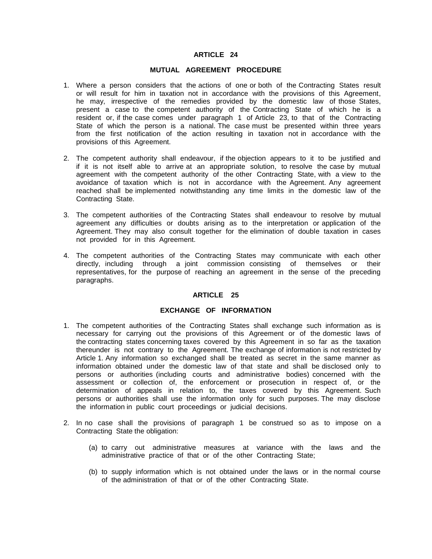### **MUTUAL AGREEMENT PROCEDURE**

- 1. Where a person considers that the actions of one or both of the Contracting States result or will result for him in taxation not in accordance with the provisions of this Agreement, he may, irrespective of the remedies provided by the domestic law of those States, present a case to the competent authority of the Contracting State of which he is a resident or, if the case comes under paragraph 1 of Article 23, to that of the Contracting State of which the person is a national. The case must be presented within three years from the first notification of the action resulting in taxation not in accordance with the provisions of this Agreement.
- 2. The competent authority shall endeavour, if the objection appears to it to be justified and if it is not itself able to arrive at an appropriate solution, to resolve the case by mutual agreement with the competent authority of the other Contracting State, with a view to the avoidance of taxation which is not in accordance with the Agreement. Any agreement reached shall be implemented notwithstanding any time limits in the domestic law of the Contracting State.
- 3. The competent authorities of the Contracting States shall endeavour to resolve by mutual agreement any difficulties or doubts arising as to the interpretation or application of the Agreement. They may also consult together for the elimination of double taxation in cases not provided for in this Agreement.
- 4. The competent authorities of the Contracting States may communicate with each other directly, including through a joint commission consisting of themselves or their representatives, for the purpose of reaching an agreement in the sense of the preceding paragraphs.

#### **ARTICLE 25**

#### **EXCHANGE OF INFORMATION**

- 1. The competent authorities of the Contracting States shall exchange such information as is necessary for carrying out the provisions of this Agreement or of the domestic laws of the contracting states concerning taxes covered by this Agreement in so far as the taxation thereunder is not contrary to the Agreement. The exchange of information is not restricted by Article 1. Any information so exchanged shall be treated as secret in the same manner as information obtained under the domestic law of that state and shall be disclosed only to persons or authorities (including courts and administrative bodies) concerned with the assessment or collection of, the enforcement or prosecution in respect of, or the determination of appeals in relation to, the taxes covered by this Agreement. Such persons or authorities shall use the information only for such purposes. The may disclose the information in public court proceedings or judicial decisions.
- 2. In no case shall the provisions of paragraph 1 be construed so as to impose on a Contracting State the obligation:
	- (a) to carry out administrative measures at variance with the laws and the administrative practice of that or of the other Contracting State;
	- (b) to supply information which is not obtained under the laws or in the normal course of the administration of that or of the other Contracting State.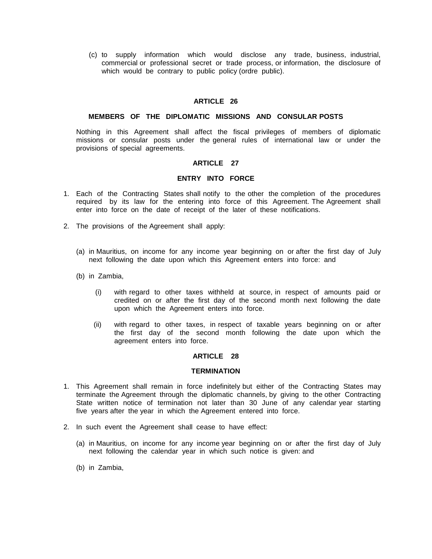(c) to supply information which would disclose any trade, business, industrial, commercial or professional secret or trade process, or information, the disclosure of which would be contrary to public policy (ordre public).

#### **ARTICLE 26**

#### **MEMBERS OF THE DIPLOMATIC MISSIONS AND CONSULAR POSTS**

Nothing in this Agreement shall affect the fiscal privileges of members of diplomatic missions or consular posts under the general rules of international law or under the provisions of special agreements.

#### **ARTICLE 27**

#### **ENTRY INTO FORCE**

- 1. Each of the Contracting States shall notify to the other the completion of the procedures required by its law for the entering into force of this Agreement. The Agreement shall enter into force on the date of receipt of the later of these notifications.
- 2. The provisions of the Agreement shall apply:
	- (a) in Mauritius, on income for any income year beginning on or after the first day of July next following the date upon which this Agreement enters into force: and
	- (b) in Zambia,
		- (i) with regard to other taxes withheld at source, in respect of amounts paid or credited on or after the first day of the second month next following the date upon which the Agreement enters into force.
		- (ii) with regard to other taxes, in respect of taxable years beginning on or after the first day of the second month following the date upon which the agreement enters into force.

#### **ARTICLE 28**

#### **TERMINATION**

- 1. This Agreement shall remain in force indefinitely but either of the Contracting States may terminate the Agreement through the diplomatic channels, by giving to the other Contracting State written notice of termination not later than 30 June of any calendar year starting five years after the year in which the Agreement entered into force.
- 2. In such event the Agreement shall cease to have effect:
	- (a) in Mauritius, on income for any income year beginning on or after the first day of July next following the calendar year in which such notice is given: and
	- (b) in Zambia,